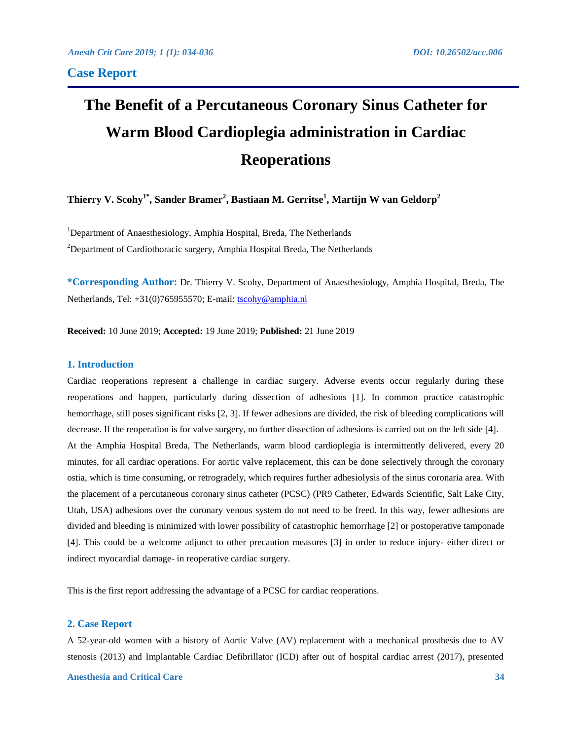# **The Benefit of a Percutaneous Coronary Sinus Catheter for Warm Blood Cardioplegia administration in Cardiac Reoperations**

**Thierry V. Scohy1\* , Sander Bramer<sup>2</sup> , Bastiaan M. Gerritse<sup>1</sup> , Martijn W van Geldorp<sup>2</sup>**

<sup>1</sup>Department of Anaesthesiology, Amphia Hospital, Breda, The Netherlands <sup>2</sup>Department of Cardiothoracic surgery, Amphia Hospital Breda, The Netherlands

**\*Corresponding Author:** Dr. Thierry V. Scohy, Department of Anaesthesiology, Amphia Hospital, Breda, The Netherlands, Tel: +31(0)765955570; E-mail: [tscohy@amphia.nl](mailto:tscohy@amphia.nl)

**Received:** 10 June 2019; **Accepted:** 19 June 2019; **Published:** 21 June 2019

## **1. Introduction**

Cardiac reoperations represent a challenge in cardiac surgery. Adverse events occur regularly during these reoperations and happen, particularly during dissection of adhesions [1]. In common practice catastrophic hemorrhage, still poses significant risks [2, 3]. If fewer adhesions are divided, the risk of bleeding complications will decrease. If the reoperation is for valve surgery, no further dissection of adhesions is carried out on the left side [4]. At the Amphia Hospital Breda, The Netherlands, warm blood cardioplegia is intermittently delivered, every 20 minutes, for all cardiac operations. For aortic valve replacement, this can be done selectively through the coronary ostia, which is time consuming, or retrogradely, which requires further adhesiolysis of the sinus coronaria area. With the placement of a percutaneous coronary sinus catheter (PCSC) (PR9 Catheter, Edwards Scientific, Salt Lake City, Utah, USA) adhesions over the coronary venous system do not need to be freed. In this way, fewer adhesions are divided and bleeding is minimized with lower possibility of catastrophic hemorrhage [2] or postoperative tamponade [4]. This could be a welcome adjunct to other precaution measures [3] in order to reduce injury- either direct or indirect myocardial damage- in reoperative cardiac surgery.

This is the first report addressing the advantage of a PCSC for cardiac reoperations.

#### **2. Case Report**

A 52-year-old women with a history of Aortic Valve (AV) replacement with a mechanical prosthesis due to AV stenosis (2013) and Implantable Cardiac Defibrillator (ICD) after out of hospital cardiac arrest (2017), presented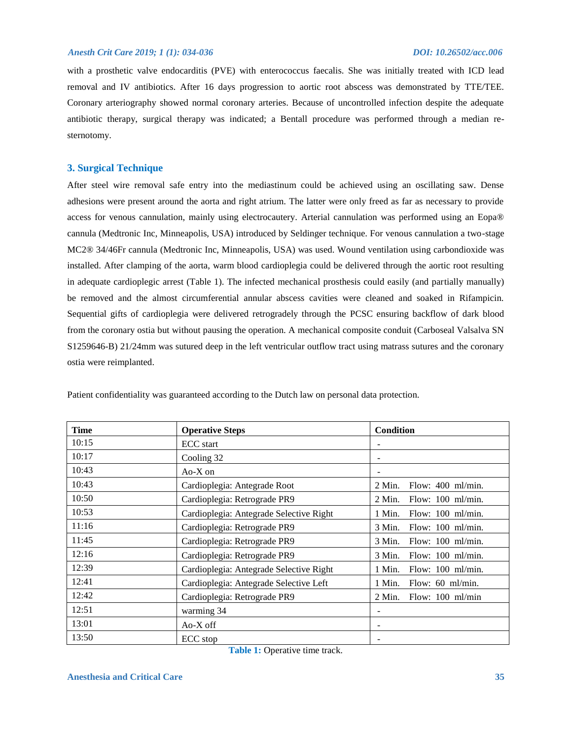with a prosthetic valve endocarditis (PVE) with enterococcus faecalis. She was initially treated with ICD lead removal and IV antibiotics. After 16 days progression to aortic root abscess was demonstrated by TTE/TEE. Coronary arteriography showed normal coronary arteries. Because of uncontrolled infection despite the adequate antibiotic therapy, surgical therapy was indicated; a Bentall procedure was performed through a median resternotomy.

# **3. Surgical Technique**

After steel wire removal safe entry into the mediastinum could be achieved using an oscillating saw. Dense adhesions were present around the aorta and right atrium. The latter were only freed as far as necessary to provide access for venous cannulation, mainly using electrocautery. Arterial cannulation was performed using an Eopa® cannula (Medtronic Inc, Minneapolis, USA) introduced by Seldinger technique. For venous cannulation a two-stage MC2® 34/46Fr cannula (Medtronic Inc, Minneapolis, USA) was used. Wound ventilation using carbondioxide was installed. After clamping of the aorta, warm blood cardioplegia could be delivered through the aortic root resulting in adequate cardioplegic arrest (Table 1). The infected mechanical prosthesis could easily (and partially manually) be removed and the almost circumferential annular abscess cavities were cleaned and soaked in Rifampicin. Sequential gifts of cardioplegia were delivered retrogradely through the PCSC ensuring backflow of dark blood from the coronary ostia but without pausing the operation. A mechanical composite conduit (Carboseal Valsalva SN S1259646-B) 21/24mm was sutured deep in the left ventricular outflow tract using matrass sutures and the coronary ostia were reimplanted.

| <b>Time</b> | <b>Operative Steps</b>                  | Condition                              |
|-------------|-----------------------------------------|----------------------------------------|
| 10:15       | <b>ECC</b> start                        |                                        |
| 10:17       | Cooling 32                              |                                        |
| 10:43       | $Ao-X$ on                               |                                        |
| 10:43       | Cardioplegia: Antegrade Root            | Flow: $400$ ml/min.<br>$2$ Min.        |
| 10:50       | Cardioplegia: Retrograde PR9            | Flow: $100$ ml/min.<br>$2$ Min.        |
| 10:53       | Cardioplegia: Antegrade Selective Right | 1 Min.<br>Flow: $100$ ml/min.          |
| 11:16       | Cardioplegia: Retrograde PR9            | Flow: $100$ ml/min.<br>3 Min.          |
| 11:45       | Cardioplegia: Retrograde PR9            | Flow: $100$ ml/min.<br>3 Min.          |
| 12:16       | Cardioplegia: Retrograde PR9            | 3 Min.<br>Flow: $100$ ml/min.          |
| 12:39       | Cardioplegia: Antegrade Selective Right | Flow: $100$ ml/min.<br>1 Min.          |
| 12:41       | Cardioplegia: Antegrade Selective Left  | Flow: 60 ml/min.<br>1 Min.             |
| 12:42       | Cardioplegia: Retrograde PR9            | $2$ Min.<br>Flow: $100 \text{ ml/min}$ |
| 12:51       | warming 34                              |                                        |
| 13:01       | Ao-X off                                |                                        |
| 13:50       | ECC stop                                |                                        |

Patient confidentiality was guaranteed according to the Dutch law on personal data protection.

**Table 1:** Operative time track.